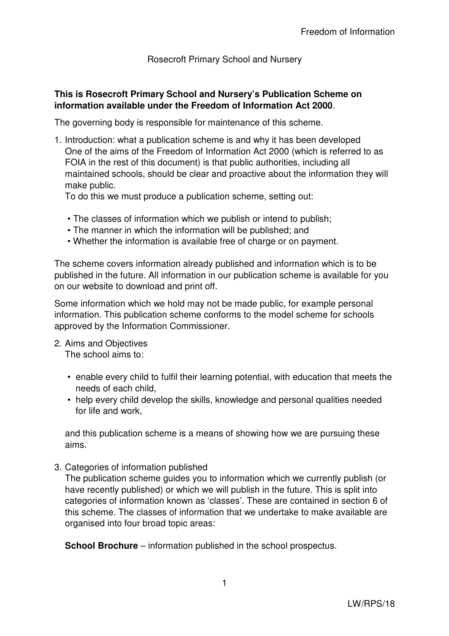Rosecroft Primary School and Nursery

## **This is Rosecroft Primary School and Nursery's Publication Scheme on information available under the Freedom of Information Act 2000**.

The governing body is responsible for maintenance of this scheme.

1. Introduction: what a publication scheme is and why it has been developed One of the aims of the Freedom of Information Act 2000 (which is referred to as FOIA in the rest of this document) is that public authorities, including all maintained schools, should be clear and proactive about the information they will make public.

To do this we must produce a publication scheme, setting out:

- The classes of information which we publish or intend to publish;
- The manner in which the information will be published; and
- Whether the information is available free of charge or on payment.

The scheme covers information already published and information which is to be published in the future. All information in our publication scheme is available for you on our website to download and print off.

Some information which we hold may not be made public, for example personal information. This publication scheme conforms to the model scheme for schools approved by the Information Commissioner.

2. Aims and Objectives

The school aims to:

- enable every child to fulfil their learning potential, with education that meets the needs of each child,
- help every child develop the skills, knowledge and personal qualities needed for life and work,

and this publication scheme is a means of showing how we are pursuing these aims.

3. Categories of information published

The publication scheme guides you to information which we currently publish (or have recently published) or which we will publish in the future. This is split into categories of information known as 'classes'. These are contained in section 6 of this scheme. The classes of information that we undertake to make available are organised into four broad topic areas:

**School Brochure** – information published in the school prospectus.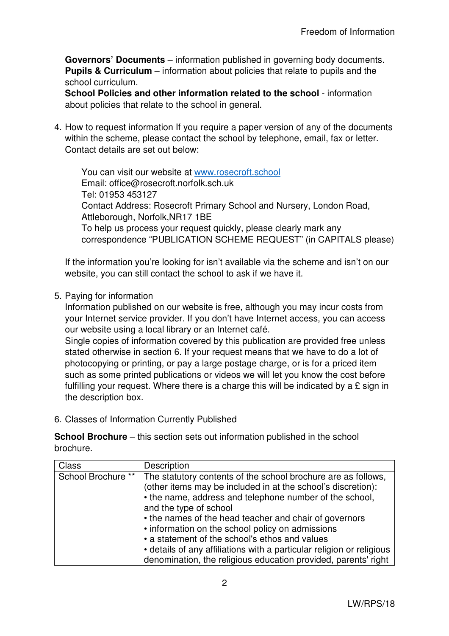**Governors' Documents** – information published in governing body documents. **Pupils & Curriculum** – information about policies that relate to pupils and the school curriculum.

**School Policies and other information related to the school** - information about policies that relate to the school in general.

4. How to request information If you require a paper version of any of the documents within the scheme, please contact the school by telephone, email, fax or letter. Contact details are set out below:

You can visit our website at www.rosecroft.school Email: office@rosecroft.norfolk.sch.uk Tel: 01953 453127 Contact Address: Rosecroft Primary School and Nursery, London Road, Attleborough, Norfolk,NR17 1BE To help us process your request quickly, please clearly mark any correspondence "PUBLICATION SCHEME REQUEST" (in CAPITALS please)

If the information you're looking for isn't available via the scheme and isn't on our website, you can still contact the school to ask if we have it.

5. Paying for information

Information published on our website is free, although you may incur costs from your Internet service provider. If you don't have Internet access, you can access our website using a local library or an Internet café.

Single copies of information covered by this publication are provided free unless stated otherwise in section 6. If your request means that we have to do a lot of photocopying or printing, or pay a large postage charge, or is for a priced item such as some printed publications or videos we will let you know the cost before fulfilling your request. Where there is a charge this will be indicated by a  $E$  sign in the description box.

6. Classes of Information Currently Published

**School Brochure** – this section sets out information published in the school brochure.

| <b>Class</b>       | Description                                                                                                                                                                                                                                                                                                                                                                                                                                                                                                                   |
|--------------------|-------------------------------------------------------------------------------------------------------------------------------------------------------------------------------------------------------------------------------------------------------------------------------------------------------------------------------------------------------------------------------------------------------------------------------------------------------------------------------------------------------------------------------|
| School Brochure ** | The statutory contents of the school brochure are as follows,<br>(other items may be included in at the school's discretion):<br>• the name, address and telephone number of the school,<br>and the type of school<br>• the names of the head teacher and chair of governors<br>• information on the school policy on admissions<br>• a statement of the school's ethos and values<br>• details of any affiliations with a particular religion or religious<br>denomination, the religious education provided, parents' right |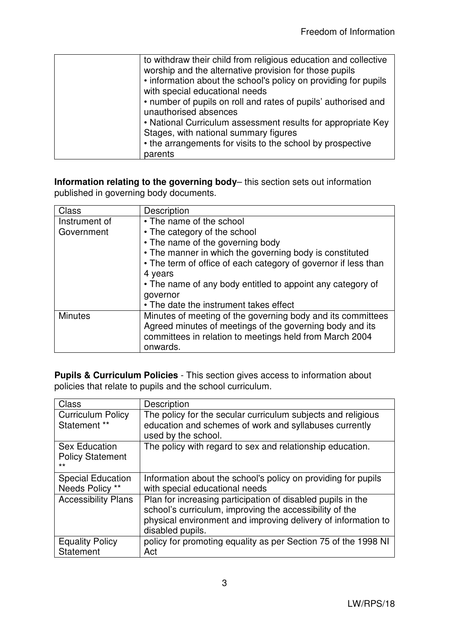| to withdraw their child from religious education and collective                                   |
|---------------------------------------------------------------------------------------------------|
| worship and the alternative provision for those pupils                                            |
| • information about the school's policy on providing for pupils<br>with special educational needs |
| • number of pupils on roll and rates of pupils' authorised and                                    |
| unauthorised absences                                                                             |
| • National Curriculum assessment results for appropriate Key                                      |
| Stages, with national summary figures                                                             |
| • the arrangements for visits to the school by prospective                                        |
| parents                                                                                           |

**Information relating to the governing body**– this section sets out information published in governing body documents.

| <b>Class</b>   | Description                                                    |
|----------------|----------------------------------------------------------------|
| Instrument of  | • The name of the school                                       |
| Government     | • The category of the school                                   |
|                | • The name of the governing body                               |
|                | • The manner in which the governing body is constituted        |
|                | • The term of office of each category of governor if less than |
|                | 4 years                                                        |
|                | • The name of any body entitled to appoint any category of     |
|                | governor                                                       |
|                | • The date the instrument takes effect                         |
| <b>Minutes</b> | Minutes of meeting of the governing body and its committees    |
|                | Agreed minutes of meetings of the governing body and its       |
|                | committees in relation to meetings held from March 2004        |
|                | onwards.                                                       |

**Pupils & Curriculum Policies** - This section gives access to information about policies that relate to pupils and the school curriculum.

| <b>Class</b>                                             | Description                                                                                                                                                                                                 |
|----------------------------------------------------------|-------------------------------------------------------------------------------------------------------------------------------------------------------------------------------------------------------------|
| <b>Curriculum Policy</b><br>Statement **                 | The policy for the secular curriculum subjects and religious<br>education and schemes of work and syllabuses currently<br>used by the school.                                                               |
| <b>Sex Education</b><br><b>Policy Statement</b><br>$***$ | The policy with regard to sex and relationship education.                                                                                                                                                   |
| <b>Special Education</b><br>Needs Policy **              | Information about the school's policy on providing for pupils<br>with special educational needs                                                                                                             |
| <b>Accessibility Plans</b>                               | Plan for increasing participation of disabled pupils in the<br>school's curriculum, improving the accessibility of the<br>physical environment and improving delivery of information to<br>disabled pupils. |
| <b>Equality Policy</b><br>Statement                      | policy for promoting equality as per Section 75 of the 1998 NI<br>Act                                                                                                                                       |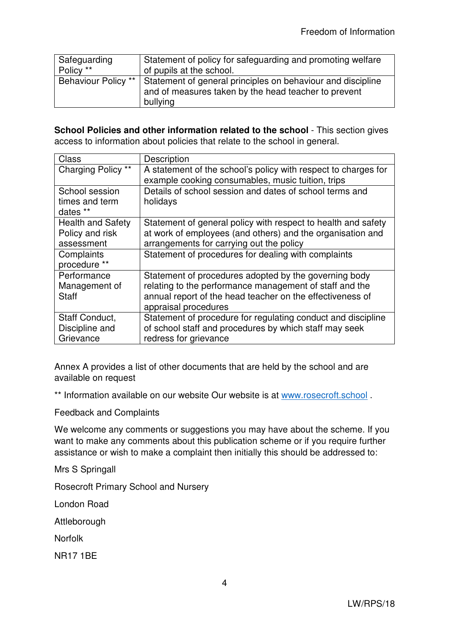| Safeguarding        | Statement of policy for safeguarding and promoting welfare                                                                      |
|---------------------|---------------------------------------------------------------------------------------------------------------------------------|
| Policy **           | of pupils at the school.                                                                                                        |
| Behaviour Policy ** | Statement of general principles on behaviour and discipline<br>and of measures taken by the head teacher to prevent<br>bullying |

**School Policies and other information related to the school** - This section gives access to information about policies that relate to the school in general.

| Class                    | Description                                                    |
|--------------------------|----------------------------------------------------------------|
| Charging Policy **       | A statement of the school's policy with respect to charges for |
|                          | example cooking consumables, music tuition, trips              |
| School session           | Details of school session and dates of school terms and        |
| times and term           | holidays                                                       |
| dates **                 |                                                                |
| <b>Health and Safety</b> | Statement of general policy with respect to health and safety  |
| Policy and risk          | at work of employees (and others) and the organisation and     |
| assessment               | arrangements for carrying out the policy                       |
| Complaints               | Statement of procedures for dealing with complaints            |
| procedure **             |                                                                |
| Performance              | Statement of procedures adopted by the governing body          |
| Management of            | relating to the performance management of staff and the        |
| <b>Staff</b>             | annual report of the head teacher on the effectiveness of      |
|                          | appraisal procedures                                           |
| Staff Conduct,           | Statement of procedure for regulating conduct and discipline   |
| Discipline and           | of school staff and procedures by which staff may seek         |
| Grievance                | redress for grievance                                          |

Annex A provides a list of other documents that are held by the school and are available on request

\*\* Information available on our website Our website is at www.rosecroft.school.

Feedback and Complaints

We welcome any comments or suggestions you may have about the scheme. If you want to make any comments about this publication scheme or if you require further assistance or wish to make a complaint then initially this should be addressed to:

Mrs S Springall

Rosecroft Primary School and Nursery

London Road

Attleborough

Norfolk

NR17 1BE